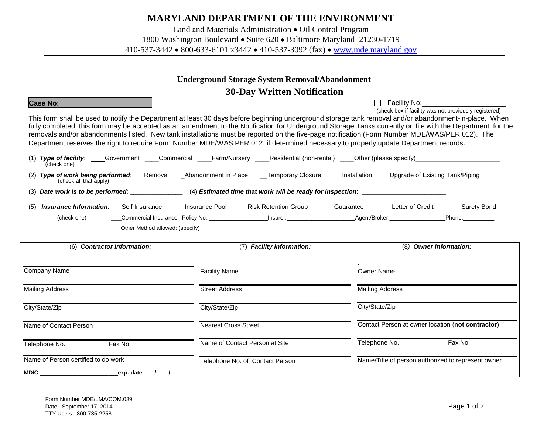# **MARYLAND DEPARTMENT OF THE ENVIRONMENT**

Land and Materials Administration • Oil Control Program

1800 Washington Boulevard • Suite 620 • Baltimore Maryland 21230-1719

410-537-3442 • 800-633-6101 x3442 • 410-537-3092 (fax) • [www.mde.maryland.gov](http://www.mde.maryland.gov/)

## **Underground Storage System Removal/Abandonment**

# **30-Day Written Notification**

**Case No**: \_\_\_\_\_\_\_\_\_\_\_\_\_\_\_\_\_\_\_ Facility No:\_\_\_\_\_\_\_\_\_\_\_\_\_\_\_\_\_\_

(check box if facility was not previously registered) This form shall be used to notify the Department at least 30 days before beginning underground storage tank removal and/or abandonment-in-place. When fully completed, this form may be accepted as an amendment to the Notification for Underground Storage Tanks currently on file with the Department, for the removals and/or abandonments listed. New tank installations must be reported on the five-page notification (Form Number MDE/WAS/PER.012). The Department reserves the right to require Form Number MDE/WAS.PER.012, if determined necessary to properly update Department records.

| $(1)$ Type of facility:<br>Government<br>(check one)        | Farm/Nurserv<br>Commercial      | Residential (non-rental) | Other (please specify)                          |
|-------------------------------------------------------------|---------------------------------|--------------------------|-------------------------------------------------|
| (2) Type of work being performed:<br>(check all that apply) | Abandonment in Place<br>Removal | <b>Temporary Closure</b> | Upgrade of Existing Tank/Piping<br>Installation |
| $\sim$ $\sim$ $\sim$ $\sim$                                 |                                 |                          |                                                 |

| (3) Date work is to be performed:<br>$(4)$ Estimated time that work will be ready for inspection: |  |
|---------------------------------------------------------------------------------------------------|--|
|---------------------------------------------------------------------------------------------------|--|

| (5) Insurance Information: Self Insurance        |                                 | Insurance Pool | <b>Risk Retention Group</b> | Guarantee     | Letter of Credit | Surety Bond |
|--------------------------------------------------|---------------------------------|----------------|-----------------------------|---------------|------------------|-------------|
| Commercial Insurance: Policy No.:<br>(check one) |                                 |                | Insurer:                    | Agent/Broker: |                  | Phone:      |
|                                                  | Other Method allowed: (specify) |                |                             |               |                  |             |

| <b>Contractor Information:</b><br>(6) | <b>Facility Information:</b><br>(7) | <b>Owner Information:</b><br>(8)                   |  |  |
|---------------------------------------|-------------------------------------|----------------------------------------------------|--|--|
|                                       |                                     |                                                    |  |  |
| Company Name                          | <b>Facility Name</b>                | <b>Owner Name</b>                                  |  |  |
|                                       |                                     |                                                    |  |  |
| <b>Mailing Address</b>                | <b>Street Address</b>               | <b>Mailing Address</b>                             |  |  |
|                                       |                                     |                                                    |  |  |
| City/State/Zip                        | City/State/Zip                      | City/State/Zip                                     |  |  |
|                                       |                                     |                                                    |  |  |
| Name of Contact Person                | <b>Nearest Cross Street</b>         | Contact Person at owner location (not contractor)  |  |  |
|                                       |                                     |                                                    |  |  |
| Telephone No.<br>Fax No.              | Name of Contact Person at Site      | Telephone No.<br>Fax No.                           |  |  |
| Name of Person certified to do work   | Telephone No. of Contact Person     | Name/Title of person authorized to represent owner |  |  |
|                                       |                                     |                                                    |  |  |
| MDIC-<br>_exp. date_                  |                                     |                                                    |  |  |